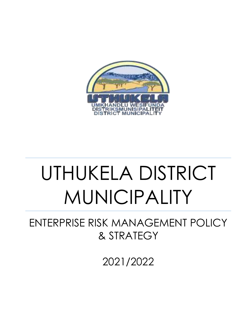

# UTHUKELA DISTRICT MUNICIPALITY

ENTERPRISE RISK MANAGEMENT POLICY & STRATEGY

2021/2022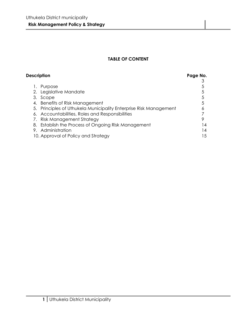# **TABLE OF CONTENT**

| <b>Description</b>                                                | Page No. |
|-------------------------------------------------------------------|----------|
|                                                                   |          |
| 1. Purpose                                                        |          |
| 2. Legislative Mandate                                            |          |
| 3. Scope                                                          | 5        |
| 4. Benefits of Risk Management                                    | 5        |
| 5. Principles of Uthukela Municipality Enterprise Risk Management | O        |
| 6. Accountabilities, Roles and Responsibilities                   |          |
| 7. Risk Management Strategy                                       | 9        |
| 8. Establish the Process of Ongoing Risk Management               | 14       |
| 9. Administration                                                 | 14       |
| 10. Approval of Policy and Strategy                               | 15       |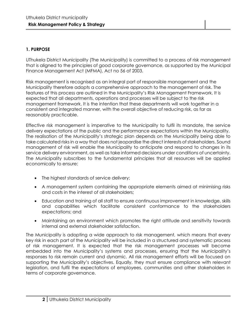## **1. PURPOSE**

UThukela District Municipality (The Municipality) is committed to a process of risk management that is aligned to the principles of good corporate governance, as supported by the Municipal Finance Management Act (MFMA), Act no 56 of 2003.

Risk management is recognised as an integral part of responsible management and the Municipality therefore adopts a comprehensive approach to the management of risk. The features of this process are outlined in the Municipality's Risk Management Framework. It is expected that all departments, operations and processes will be subject to the risk management framework. It is the intention that these departments will work together in a consistent and integrated manner, with the overall objective of reducing risk, as far as reasonably practicable.

Effective risk management is imperative to the Municipality to fulfil its mandate, the service delivery expectations of the public and the performance expectations within the Municipality. The realisation of the Municipality's strategic plan depends on the Municipality being able to take calculated risks in a way that does not jeopardise the direct interests of stakeholders. Sound management of risk will enable the Municipality to anticipate and respond to changes in its service delivery environment, as well as take informed decisions under conditions of uncertainty. The Municipality subscribes to the fundamental principles that all resources will be applied economically to ensure:

- The highest standards of service delivery;
- A management system containing the appropriate elements aimed at minimising risks and costs in the interest of all stakeholders;
- Education and training of all staff to ensure continuous improvement in knowledge, skills and capabilities which facilitate consistent conformance to the stakeholders expectations; and
- Maintaining an environment which promotes the right attitude and sensitivity towards internal and external stakeholder satisfaction.

The Municipality is adopting a wide approach to risk management, which means that every key risk in each part of the Municipality will be included in a structured and systematic process of risk management. It is expected that the risk management processes will become embedded into the Municipality's systems and processes, ensuring that the Municipality's responses to risk remain current and dynamic. All risk management efforts will be focused on supporting the Municipality's objectives. Equally, they must ensure compliance with relevant legislation, and fulfil the expectations of employees, communities and other stakeholders in terms of corporate governance.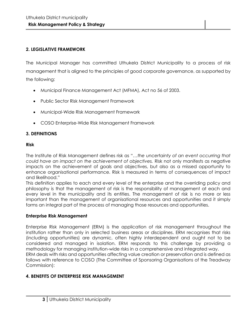## **2. LEGISLATIVE FRAMEWORK**

The Municipal Manager has committed Uthukela District Municipality to a process of risk management that is aligned to the principles of good corporate governance, as supported by the following:

- Municipal Finance Management Act (MFMA), Act no 56 of 2003.
- Public Sector Risk Management Framework
- Municipal-Wide Risk Management Framework
- COSO Enterprise-Wide Risk Management Framework

## **3. DEFINITIONS**

## **Risk**

The Institute of Risk Management defines risk as "…*the uncertainty of an event occurring that could have an impact on the achievement of objectives.* Risk not only manifests as negative impacts on the achievement of goals and objectives, but also as a missed opportunity to enhance organisational performance. Risk is measured in terms of consequences of impact and likelihood."

This definition applies to each and every level of the enterprise and the overriding policy and philosophy is that the management of risk is the responsibility of management at each and every level in the municipality and its entities. The management of risk is no more or less important than the management of organisational resources and opportunities and it simply forms an integral part of the process of managing those resources and opportunities.

## **Enterprise Risk Management**

Enterprise Risk Management (ERM) is the application of risk management throughout the institution rather than only in selected business areas or disciplines. ERM recognises that risks (including opportunities) are dynamic, often highly interdependent and ought not to be considered and managed in isolation. ERM responds to this challenge by providing a methodology for managing institution-wide risks in a comprehensive and integrated way. ERM deals with risks and opportunities affecting value creation or preservation and is defined as

follows with reference to COSO (The Committee of Sponsoring Organisations of the Treadway Commission):

## **4. BENEFITS OF ENTERPRISE RISK MANAGEMENT**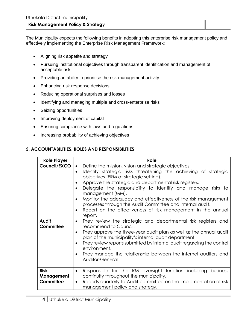The Municipality expects the following benefits in adopting this enterprise risk management policy and effectively implementing the Enterprise Risk Management Framework:

- Aligning risk appetite and strategy
- Pursuing institutional objectives through transparent identification and management of acceptable risk
- Providing an ability to prioritise the risk management activity
- Enhancing risk response decisions
- Reducing operational surprises and losses
- Identifying and managing multiple and cross-enterprise risks
- Seizing opportunities
- Improving deployment of capital
- Ensuring compliance with laws and regulations
- Increasing probability of achieving objectives

## **5**. **ACCOUNTABILITIES, ROLES AND RESPONSIBILITIES**

| <b>Role Player</b>                 | Role                                                                                                                                                                                                                                                                                                                                                                                                                                                                                                                                                                                                                                                                                                                                                                                                                                                                                                                                                                                   |
|------------------------------------|----------------------------------------------------------------------------------------------------------------------------------------------------------------------------------------------------------------------------------------------------------------------------------------------------------------------------------------------------------------------------------------------------------------------------------------------------------------------------------------------------------------------------------------------------------------------------------------------------------------------------------------------------------------------------------------------------------------------------------------------------------------------------------------------------------------------------------------------------------------------------------------------------------------------------------------------------------------------------------------|
| Council/EXCO<br>Audit<br>Committee | Define the mission, vision and strategic objectives<br>$\bullet$<br>Identify strategic risks threatening the achieving of strategic<br>$\bullet$<br>objectives (ERM at strategic setting).<br>Approve the strategic and departmental risk registers.<br>Delegate the responsibility to identify and manage risks to<br>management (MM).<br>Monitor the adequacy and effectiveness of the risk management<br>processes through the Audit Committee and internal audit.<br>Report on the effectiveness of risk management in the annual<br>$\bullet$<br>report.<br>They review the strategic and departmental risk registers and<br>recommend to Council.<br>They approve the three-year audit plan as well as the annual audit<br>٠<br>plan of the municipality's internal audit department.<br>They review reports submitted by internal audit regarding the control<br>$\bullet$<br>environment.<br>They manage the relationship between the internal auditors and<br>Auditor-General |
|                                    |                                                                                                                                                                                                                                                                                                                                                                                                                                                                                                                                                                                                                                                                                                                                                                                                                                                                                                                                                                                        |
| <b>Risk</b><br>Management          | Responsible for the RM oversight function including business<br>$\bullet$<br>continuity throughout the municipality.                                                                                                                                                                                                                                                                                                                                                                                                                                                                                                                                                                                                                                                                                                                                                                                                                                                                   |
| Committee                          | Reports quarterly to Audit committee on the implementation of risk<br>$\bullet$<br>management policy and strategy.                                                                                                                                                                                                                                                                                                                                                                                                                                                                                                                                                                                                                                                                                                                                                                                                                                                                     |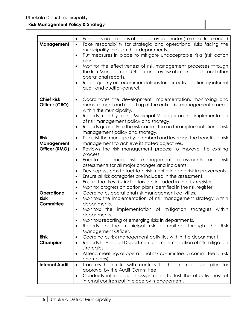# **Risk Management Policy & Strategy**

|                       | Functions on the basis of an approved charter (Terms of Reference)                                                         |
|-----------------------|----------------------------------------------------------------------------------------------------------------------------|
| Management            | Take responsibility for strategic and operational risks facing the<br>$\bullet$                                            |
|                       | municipality through their departments.                                                                                    |
|                       | Put measures in place to mitigate unacceptable risks (risk action<br>$\bullet$                                             |
|                       | plans).                                                                                                                    |
|                       | Monitor the effectiveness of risk management processes through<br>$\bullet$                                                |
|                       | the Risk Management Officer and review of internal audit and other                                                         |
|                       | operational reports.                                                                                                       |
|                       | React quickly on recommendations for corrective action by internal                                                         |
|                       | audit and auditor-general.                                                                                                 |
|                       |                                                                                                                            |
| <b>Chief Risk</b>     | Coordinates the development, implementation, monitoring and<br>٠                                                           |
| Officer (CRO)         | measurement and reporting of the entire risk management process                                                            |
|                       | within the municipality.                                                                                                   |
|                       | Reports monthly to the Municipal Manager on the implementation<br>٠                                                        |
|                       | of risk management policy and strategy.                                                                                    |
|                       | Reports quarterly to the risk committee on the implementation of risk<br>٠                                                 |
|                       | management policy and strategy.                                                                                            |
| <b>Risk</b>           | To assist the municipality to embed and leverage the benefits of risk<br>$\bullet$                                         |
| Management            | management to achieve its stated objectives.                                                                               |
| Officer (RMO)         | Reviews the risk management process to improve the existing<br>$\bullet$                                                   |
|                       | process.                                                                                                                   |
|                       | Facilitates<br>annual risk management assessments<br>risk<br>and                                                           |
|                       | assessments for all major changes and incidents.                                                                           |
|                       | Develop systems to facilitate risk monitoring and risk improvements.<br>$\bullet$                                          |
|                       | Ensure all risk categories are included in the assessment.<br>$\bullet$                                                    |
|                       | Ensure that key risk indicators are included in the risk register.<br>٠                                                    |
|                       | Monitor progress on action plans identified in the risk register.<br>$\bullet$                                             |
| Operational           | Coordinates operational risk management activities.<br>$\bullet$                                                           |
| <b>Risk</b>           | Monitors the implementation of risk management strategy within<br>$\bullet$                                                |
| Committee             | departments.                                                                                                               |
|                       | Monitors the<br>implementation of mitigation strategies<br>within                                                          |
|                       | departments.                                                                                                               |
|                       | Monitors reporting of emerging risks in departments.<br>Reports to the municipal risk committee through the<br><b>Risk</b> |
|                       | Management Officer.                                                                                                        |
| <b>Risk</b>           | Coordinates risk management activities within the department.<br>٠                                                         |
| Champion              | Reports to Head of Department on implementation of risk mitigation                                                         |
|                       | strategies.                                                                                                                |
|                       | Attend meetings of operational risk committee (a committee of risk                                                         |
|                       | champions)                                                                                                                 |
| <b>Internal Audit</b> | Transfers high risks with controls to the internal audit plan for<br>$\bullet$                                             |
|                       | approval by the Audit Committee.                                                                                           |
|                       | Conducts internal audit assignments to test the effectiveness of                                                           |
|                       | internal controls put in place by management.                                                                              |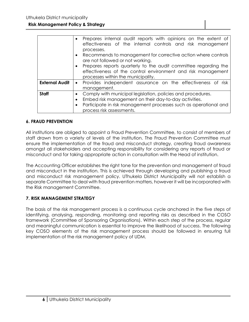## **Risk Management Policy & Strategy**

|                       | • Prepares internal audit reports with opinions on the extent of<br>effectiveness of the internal controls and risk management<br>processes.<br>• Recommends to management for corrective action where controls<br>are not followed or not working.<br>Prepares reports quarterly to the audit committee regarding the<br>effectiveness of the control environment and risk management<br>processes within the municipality. |
|-----------------------|------------------------------------------------------------------------------------------------------------------------------------------------------------------------------------------------------------------------------------------------------------------------------------------------------------------------------------------------------------------------------------------------------------------------------|
| <b>External Audit</b> | • Provides independent assurance on the effectiveness of risk<br>management.                                                                                                                                                                                                                                                                                                                                                 |
| <b>Staff</b>          | • Comply with municipal legislation, policies and procedures.<br>Embed risk management on their day-to-day activities.<br>Participate in risk management processes such as operational and<br>process risk assessments.                                                                                                                                                                                                      |

## **6. FRAUD PREVENTION**

All institutions are obliged to appoint a Fraud Prevention Committee, to consist of members of staff drawn from a variety of levels of the institution. The Fraud Prevention Committee must ensure the implementation of the fraud and misconduct strategy, creating fraud awareness amongst all stakeholders and accepting responsibility for considering any reports of fraud or misconduct and for taking appropriate action in consultation with the Head of institution.

The Accounting Officer establishes the right tone for the prevention and management of fraud and misconduct in the institution. This is achieved through developing and publishing a fraud and misconduct risk management policy. UThukela District Municipality will not establish a separate Committee to deal with fraud prevention matters, however it will be incorporated with the Risk management Committee.

## **7. RISK MANAGEMENT STRATEGY**

The basis of the risk management process is a continuous cycle anchored in the five steps of identifying, analysing, responding, monitoring and reporting risks as described in the COSO framework (Committee of Sponsoring Organisations). Within each step of the process, regular and meaningful communication is essential to improve the likelihood of success. The following key COSO elements of the risk management process should be followed in ensuring full implementation of the risk management policy of UDM.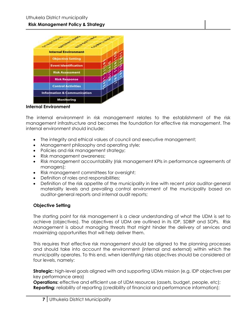

**Internal Environment**

The internal environment in risk management relates to the establishment of the risk management infrastructure and becomes the foundation for effective risk management. The internal environment should include:

- The integrity and ethical values of council and executive management;
- Management philosophy and operating style;
- Policies and risk management strategy;
- Risk management awareness;
- Risk management accountability (risk management KPIs in performance agreements of managers);
- Risk management committees for oversight;
- Definition of roles and responsibilities;
- Definition of the risk appetite of the municipality in line with recent prior auditor-general materiality levels and prevailing control environment of the municipality based on auditor-general reports and internal audit reports;

## **Objective Setting**

The starting point for risk management is a clear understanding of what the UDM is set to achieve (objectives). The objectives of UDM are outlined in its IDP, SDBIP and SOPs. Risk Management is about managing threats that might hinder the delivery of services and maximizing opportunities that will help deliver them.

This requires that effective risk management should be aligned to the planning processes and should take into account the environment (internal and external) within which the municipality operates. To this end, when identifying risks objectives should be considered at four levels, namely:

**Strategic:** high-level goals aligned with and supporting UDMs mission (e.g. IDP objectives per key performance area)

**Operations:** effective and efficient use of UDM resources (assets, budget, people, etc); **Reporting:** reliability of reporting (credibility of financial and performance information);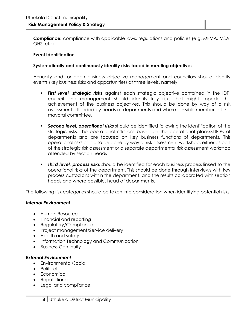**Compliance:** compliance with applicable laws, regulations and policies (e.g. MFMA, MSA, OHS, etc)

#### **Event Identification**

#### **Systematically and continuously identify risks faced in meeting objectives**

Annually and for each business objective management and councilors should identify events (key business risks and opportunities) at three levels, namely;

- **First level, strategic risks** against each strategic objective contained in the IDP, council and management should identify key risks that might impede the achievement of the business objectives. This should be done by way of a risk assessment attended by heads of departments and where possible members of the mayoral committee.
- *Second level, operational risks* should be identified following the identification of the strategic risks. The operational risks are based on the operational plans/SDBIPs of departments and are focused on key business functions of departments. This operational risks can also be done by way of risk assessment workshop, either as part of the strategic risk assessment or a separate departmental risk assessment workshop attended by section heads
- *Third level, process risks* should be identified for each business process linked to the operational risks of the department. This should be done through interviews with key process custodians within the department, and the results collaborated with section heads and where possible, head of departments.

The following risk categories should be taken into consideration when identifying potential risks:

#### *Internal Environment*

- Human Resource
- Financial and reporting
- Regulatory/Compliance
- Project management/Service delivery
- Health and safety
- Information Technology and Communication
- Business Continuity

#### *External Environment*

- Environmental/Social
- Political
- $\bullet$  Economical
- Reputational
- Legal and compliance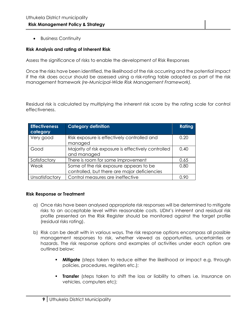**•** Business Continuity

## **Risk Analysis and rating of Inherent Risk**

Assess the significance of risks to enable the development of Risk Responses

Once the risks have been identified, the likelihood of the risk occurring and the potential impact if the risk does occur should be assessed using a risk-rating table adopted as part of the risk management framework *(re-Municipal-Wide Risk Management Framework).*

Residual risk is calculated by multiplying the inherent risk score by the rating scale for control effectiveness.

| <b>Effectiveness</b><br>category | <b>Category definition</b>                                                              | <b>Rating</b> |
|----------------------------------|-----------------------------------------------------------------------------------------|---------------|
| Very good                        | Risk exposure is effectively controlled and<br>managed                                  | 0.20          |
| Good                             | Majority of risk exposure is effectively controlled<br>and managed                      | 0.40          |
| Satisfactory                     | There is room for some improvement                                                      | 0.65          |
| Weak                             | Some of the risk exposure appears to be<br>controlled, but there are major deficiencies | 0.80          |
| Unsatisfactory                   | Control measures are ineffective                                                        | N 90          |

#### **Risk Response or Treatment**

- a) Once risks have been analysed appropriate risk responses will be determined to mitigate risks to an acceptable level within reasonable costs. UDM's inherent and residual risk profile presented on the Risk Register should be monitored against the target profile (residual risks rating).
- b) Risk can be dealt with in various ways. The risk response options encompass all possible management responses to risk, whether viewed as opportunities, uncertainties or hazards. The risk response options and examples of activities under each option are outlined below:
	- **Mitigate** (steps taken to reduce either the likelihood or impact e.g. through policies, procedures, registers etc.);
	- **Transfer** (steps taken to shift the loss or liability to others i.e. Insurance on vehicles, computers etc);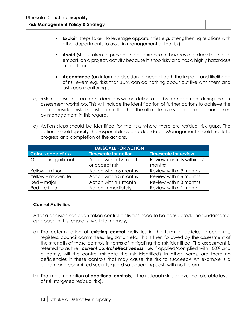- **Exploit** (steps taken to leverage opportunities e.g. strengthening relations with other departments to assist in management of the risk);
- **Avoid** (steps taken to prevent the occurrence of hazards e.g. deciding not to embark on a project, activity because it is too risky and has a highly hazardous impact); or
- **Acceptance** (an informed decision to accept both the impact and likelihood of risk event e.g. risks that UDM can do nothing about but live with them and just keep monitoring).
- c) Risk responses or treatment decisions will be deliberated by management during the risk assessment workshop. This will include the identification of further actions to achieve the desired residual risk. The risk committee has the ultimate oversight of the decision taken by management in this regard.
- d) Action steps should be identified for the risks where there are residual risk gaps. The actions should specify the responsibilities and due dates. Management should track to progress and completion of the actions.

| <b>TIMESCALE FOR ACTION</b> |                             |                             |  |
|-----------------------------|-----------------------------|-----------------------------|--|
| Colour-code of risk         | <b>Timescale for action</b> | <b>Timescale for review</b> |  |
| Green - insignificant       | Action within 12 months     | Review controls within 12   |  |
|                             | or accept risk              | months                      |  |
| Yellow – minor              | Action within 6 months      | Review within 9 months      |  |
| Yellow - moderate           | Action within 3 months      | Review within 6 months      |  |
| Red – major                 | Action within 1 month       | Review within 3 months      |  |
| Red – critical              | Action immediately          | Review within 1 month       |  |

## **Control Activities**

After a decision has been taken control activities need to be considered. The fundamental approach in this regard is two-fold, namely;

- a) The determination of **existing control** activities in the form of policies, procedures, registers, council committees, legislation etc. This is then followed by the assessment of the strength of these controls in terms of mitigating the risk identified. The assessment is referred to as the "*current control effectiveness"* i.e. if applied/complied with 100% and diligently, will the control mitigate the risk identified? In other words, are there no deficiencies in these controls that may cause the risk to succeed? An example is a diligent and committed security guard safeguarding cash with no fire arm.
- b) The implementation of **additional controls**, if the residual risk is above the tolerable level of risk (targeted residual risk).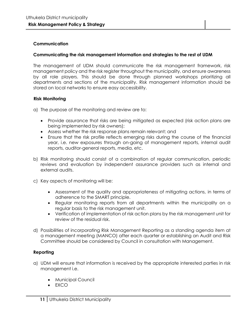#### **Communication**

## **Communicating the risk management information and strategies to the rest of UDM**

The management of UDM should communicate the risk management framework, risk management policy and the risk register throughout the municipality, and ensure awareness by all role players. This should be done through planned workshops prioritizing all departments and sections of the municipality. Risk management information should be stored on local networks to ensure easy accessibility.

## **Risk Monitoring**

- a) The purpose of the monitoring and review are to:
	- Provide assurance that risks are being mitigated as expected (risk action plans are being implemented by risk owners);
	- Assess whether the risk response plans remain relevant; and
	- Ensure that the risk profile reflects emerging risks during the course of the financial year, i.e. new exposures through on-going of management reports, internal audit reports, auditor-general reports, media, etc.
- b) Risk monitoring should consist of a combination of regular communication, periodic reviews and evaluation by independent assurance providers such as internal and external audits.
- c) Key aspects of monitoring will be:
	- Assessment of the quality and appropriateness of mitigating actions, in terms of adherence to the SMART principle.
	- Regular monitoring reports from all departments within the municipality on a regular basis to the risk management unit.
	- Verification of implementation of risk action plans by the risk management unit for review of the residual risk.
- d) Possibilities of incorporating Risk Management Reporting as a standing agenda item at a management meeting (MANCO) after each quarter or establishing an Audit and Risk Committee should be considered by Council in consultation with Management.

#### **Reporting**

- a) UDM will ensure that information is received by the appropriate interested parties in risk management i.e.
	- Municipal Council
	- EXCO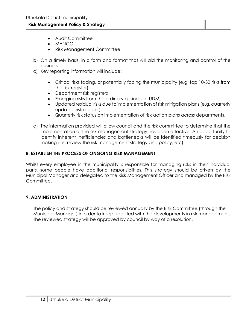## **Risk Management Policy & Strategy**

- Audit Committee
- MANCO
- Risk Management Committee
- b) On a timely basis, in a form and format that will aid the monitoring and control of the business.
- c) Key reporting information will include:
	- Critical risks facing, or potentially facing the municipality (e.g. top 10-30 risks from the risk register);
	- Department risk registers
	- **Emerging risks from the ordinary business of UDM;**
	- Updated residual risks due to implementation of risk mitigation plans (e.g. quarterly updated risk register);
	- Quarterly risk status on implementation of risk action plans across departments.
- d) The information provided will allow council and the risk committee to determine that the implementation of the risk management strategy has been effective. An opportunity to identify inherent inefficiencies and bottlenecks will be identified timeously for decision making (i.e. review the risk management strategy and policy, etc).

## **8. ESTABLISH THE PROCESS OF ONGOING RISK MANAGEMENT**

Whilst every employee in the municipality is responsible for managing risks in their individual parts, some people have additional responsibilities. This strategy should be driven by the Municipal Manager and delegated to the Risk Management Officer and managed by the Risk Committee.

#### **9. ADMINISTRATION**

The policy and strategy should be reviewed annually by the Risk Committee (through the Municipal Manager) in order to keep updated with the developments in risk management. The reviewed strategy will be approved by council by way of a resolution.